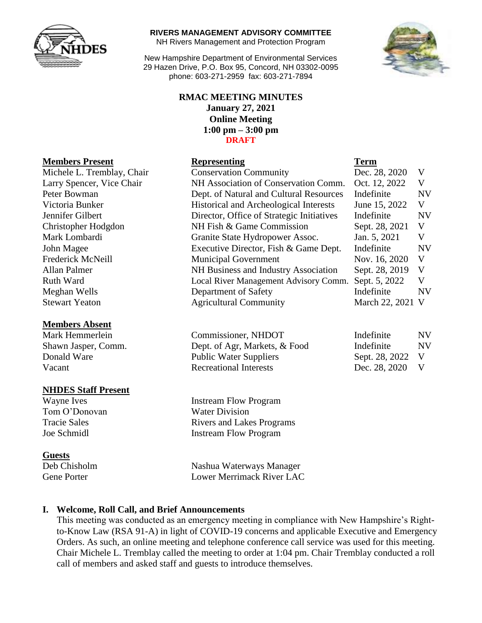

#### **RIVERS MANAGEMENT ADVISORY COMMITTEE**

NH Rivers Management and Protection Program

New Hampshire Department of Environmental Services 29 Hazen Drive, P.O. Box 95, Concord, NH 03302-0095 phone: 603-271-2959 fax: 603-271-7894

### **RMAC MEETING MINUTES January 27, 2021 Online Meeting 1:00 pm – 3:00 pm DRAFT**

# **Members Present Representing Representing Term**

| REQUIRED THOSAIL           | лергезения                                | Term             |           |
|----------------------------|-------------------------------------------|------------------|-----------|
| Michele L. Tremblay, Chair | <b>Conservation Community</b>             | Dec. 28, 2020    | V         |
| Larry Spencer, Vice Chair  | NH Association of Conservation Comm.      | Oct. 12, 2022    | V         |
| Peter Bowman               | Dept. of Natural and Cultural Resources   | Indefinite       | <b>NV</b> |
| Victoria Bunker            | Historical and Archeological Interests    | June 15, 2022    | V         |
| Jennifer Gilbert           | Director, Office of Strategic Initiatives | Indefinite       | <b>NV</b> |
| Christopher Hodgdon        | NH Fish & Game Commission                 | Sept. 28, 2021   | V         |
| Mark Lombardi              | Granite State Hydropower Assoc.           | Jan. 5, 2021     | V         |
| John Magee                 | Executive Director, Fish & Game Dept.     | Indefinite       | <b>NV</b> |
| Frederick McNeill          | <b>Municipal Government</b>               | Nov. 16, 2020    | V         |
| Allan Palmer               | NH Business and Industry Association      | Sept. 28, 2019   | V         |
| <b>Ruth Ward</b>           | Local River Management Advisory Comm.     | Sept. 5, 2022    | V         |
| Meghan Wells               | Department of Safety                      | Indefinite       | NV        |
| <b>Stewart Yeaton</b>      | <b>Agricultural Community</b>             | March 22, 2021 V |           |
|                            |                                           |                  |           |

| Commissioner, NHDOT<br>Mark Hemmerlein |                               | Indefinite       |           |
|----------------------------------------|-------------------------------|------------------|-----------|
| Shawn Jasper, Comm.                    | Dept. of Agr, Markets, & Food | Indefinite       | <b>NV</b> |
| Donald Ware                            | <b>Public Water Suppliers</b> | Sept. 28, 2022 V |           |
| Vacant                                 | <b>Recreational Interests</b> | Dec. 28, 2020    | - V       |

### **Members Absent**

### **NHDES Staff Present**

Wayne Ives **Instream Flow Program** Tom O'Donovan Water Division

#### **Guests**

Tracie Sales **Rivers** and Lakes Programs Joe Schmidl Instream Flow Program

Deb Chisholm Nashua Waterways Manager Gene Porter **Lower Merrimack River LAC** 

### **I. Welcome, Roll Call, and Brief Announcements**

This meeting was conducted as an emergency meeting in compliance with New Hampshire's Rightto-Know Law (RSA 91-A) in light of COVID-19 concerns and applicable Executive and Emergency Orders. As such, an online meeting and telephone conference call service was used for this meeting. Chair Michele L. Tremblay called the meeting to order at 1:04 pm. Chair Tremblay conducted a roll call of members and asked staff and guests to introduce themselves.

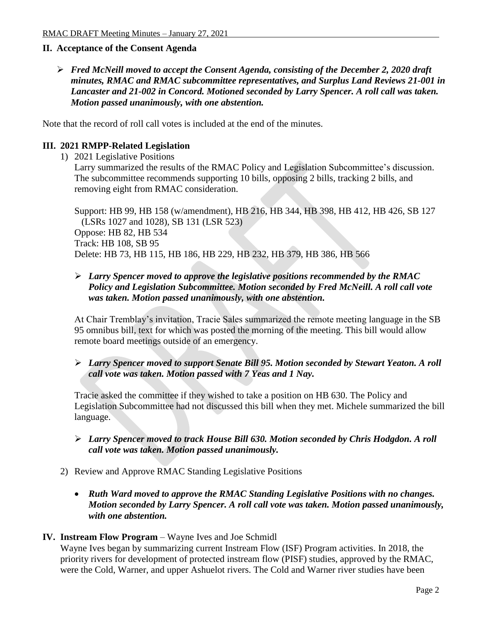# **II. Acceptance of the Consent Agenda**

 *Fred McNeill moved to accept the Consent Agenda, consisting of the December 2, 2020 draft minutes, RMAC and RMAC subcommittee representatives, and Surplus Land Reviews 21-001 in Lancaster and 21-002 in Concord. Motioned seconded by Larry Spencer. A roll call was taken. Motion passed unanimously, with one abstention.* 

Note that the record of roll call votes is included at the end of the minutes.

### **III. 2021 RMPP-Related Legislation**

1) 2021 Legislative Positions

Larry summarized the results of the RMAC Policy and Legislation Subcommittee's discussion. The subcommittee recommends supporting 10 bills, opposing 2 bills, tracking 2 bills, and removing eight from RMAC consideration.

Support: HB 99, HB 158 (w/amendment), HB 216, HB 344, HB 398, HB 412, HB 426, SB 127 (LSRs 1027 and 1028), SB 131 (LSR 523) Oppose: HB 82, HB 534 Track: HB 108, SB 95 Delete: HB 73, HB 115, HB 186, HB 229, HB 232, HB 379, HB 386, HB 566

# *Larry Spencer moved to approve the legislative positions recommended by the RMAC Policy and Legislation Subcommittee. Motion seconded by Fred McNeill. A roll call vote was taken. Motion passed unanimously, with one abstention.*

At Chair Tremblay's invitation, Tracie Sales summarized the remote meeting language in the SB 95 omnibus bill, text for which was posted the morning of the meeting. This bill would allow remote board meetings outside of an emergency.

# *Larry Spencer moved to support Senate Bill 95. Motion seconded by Stewart Yeaton. A roll call vote was taken. Motion passed with 7 Yeas and 1 Nay.*

Tracie asked the committee if they wished to take a position on HB 630. The Policy and Legislation Subcommittee had not discussed this bill when they met. Michele summarized the bill language.

- *Larry Spencer moved to track House Bill 630. Motion seconded by Chris Hodgdon. A roll call vote was taken. Motion passed unanimously.*
- 2) Review and Approve RMAC Standing Legislative Positions
	- *Ruth Ward moved to approve the RMAC Standing Legislative Positions with no changes. Motion seconded by Larry Spencer. A roll call vote was taken. Motion passed unanimously, with one abstention.*

### **IV. Instream Flow Program** – Wayne Ives and Joe Schmidl

Wayne Ives began by summarizing current Instream Flow (ISF) Program activities. In 2018, the priority rivers for development of protected instream flow (PISF) studies, approved by the RMAC, were the Cold, Warner, and upper Ashuelot rivers. The Cold and Warner river studies have been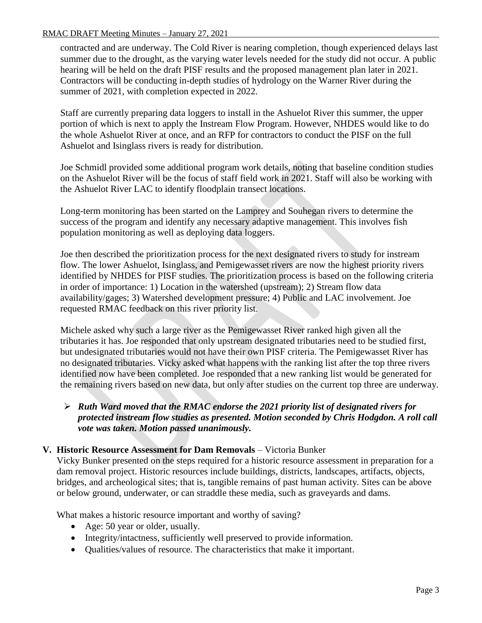#### RMAC DRAFT Meeting Minutes – January 27, 2021

contracted and are underway. The Cold River is nearing completion, though experienced delays last summer due to the drought, as the varying water levels needed for the study did not occur. A public hearing will be held on the draft PISF results and the proposed management plan later in 2021. Contractors will be conducting in-depth studies of hydrology on the Warner River during the summer of 2021, with completion expected in 2022.

Staff are currently preparing data loggers to install in the Ashuelot River this summer, the upper portion of which is next to apply the Instream Flow Program. However, NHDES would like to do the whole Ashuelot River at once, and an RFP for contractors to conduct the PISF on the full Ashuelot and Isinglass rivers is ready for distribution.

Joe Schmidl provided some additional program work details, noting that baseline condition studies on the Ashuelot River will be the focus of staff field work in 2021. Staff will also be working with the Ashuelot River LAC to identify floodplain transect locations.

Long-term monitoring has been started on the Lamprey and Souhegan rivers to determine the success of the program and identify any necessary adaptive management. This involves fish population monitoring as well as deploying data loggers.

Joe then described the prioritization process for the next designated rivers to study for instream flow. The lower Ashuelot, Isinglass, and Pemigewasset rivers are now the highest priority rivers identified by NHDES for PISF studies. The prioritization process is based on the following criteria in order of importance: 1) Location in the watershed (upstream); 2) Stream flow data availability/gages; 3) Watershed development pressure; 4) Public and LAC involvement. Joe requested RMAC feedback on this river priority list.

Michele asked why such a large river as the Pemigewasset River ranked high given all the tributaries it has. Joe responded that only upstream designated tributaries need to be studied first, but undesignated tributaries would not have their own PISF criteria. The Pemigewasset River has no designated tributaries. Vicky asked what happens with the ranking list after the top three rivers identified now have been completed. Joe responded that a new ranking list would be generated for the remaining rivers based on new data, but only after studies on the current top three are underway.

# *Ruth Ward moved that the RMAC endorse the 2021 priority list of designated rivers for protected instream flow studies as presented. Motion seconded by Chris Hodgdon. A roll call vote was taken. Motion passed unanimously.*

# **V. Historic Resource Assessment for Dam Removals** – Victoria Bunker

Vicky Bunker presented on the steps required for a historic resource assessment in preparation for a dam removal project. Historic resources include buildings, districts, landscapes, artifacts, objects, bridges, and archeological sites; that is, tangible remains of past human activity. Sites can be above or below ground, underwater, or can straddle these media, such as graveyards and dams.

What makes a historic resource important and worthy of saving?

- Age: 50 year or older, usually.
- Integrity/intactness, sufficiently well preserved to provide information.
- Qualities/values of resource. The characteristics that make it important.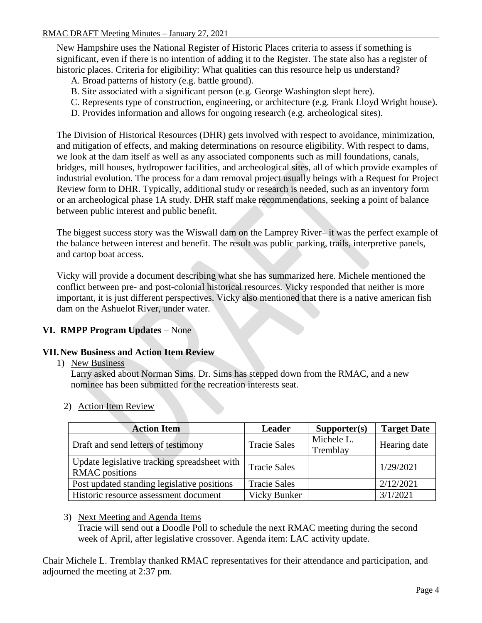New Hampshire uses the National Register of Historic Places criteria to assess if something is significant, even if there is no intention of adding it to the Register. The state also has a register of historic places. Criteria for eligibility: What qualities can this resource help us understand?

- A. Broad patterns of history (e.g. battle ground).
- B. Site associated with a significant person (e.g. George Washington slept here).
- C. Represents type of construction, engineering, or architecture (e.g. Frank Lloyd Wright house).
- D. Provides information and allows for ongoing research (e.g. archeological sites).

The Division of Historical Resources (DHR) gets involved with respect to avoidance, minimization, and mitigation of effects, and making determinations on resource eligibility. With respect to dams, we look at the dam itself as well as any associated components such as mill foundations, canals, bridges, mill houses, hydropower facilities, and archeological sites, all of which provide examples of industrial evolution. The process for a dam removal project usually beings with a Request for Project Review form to DHR. Typically, additional study or research is needed, such as an inventory form or an archeological phase 1A study. DHR staff make recommendations, seeking a point of balance between public interest and public benefit.

The biggest success story was the Wiswall dam on the Lamprey River– it was the perfect example of the balance between interest and benefit. The result was public parking, trails, interpretive panels, and cartop boat access.

Vicky will provide a document describing what she has summarized here. Michele mentioned the conflict between pre- and post-colonial historical resources. Vicky responded that neither is more important, it is just different perspectives. Vicky also mentioned that there is a native american fish dam on the Ashuelot River, under water.

# **VI. RMPP Program Updates** – None

# **VII.New Business and Action Item Review**

1) New Business

Larry asked about Norman Sims. Dr. Sims has stepped down from the RMAC, and a new nominee has been submitted for the recreation interests seat.

2) Action Item Review

| <b>Action Item</b>                                                    | <b>Leader</b>       | Supporter(s)           | <b>Target Date</b> |
|-----------------------------------------------------------------------|---------------------|------------------------|--------------------|
| Draft and send letters of testimony                                   | <b>Tracie Sales</b> | Michele L.<br>Tremblay | Hearing date       |
| Update legislative tracking spreadsheet with<br><b>RMAC</b> positions | <b>Tracie Sales</b> |                        | 1/29/2021          |
| Post updated standing legislative positions                           | <b>Tracie Sales</b> |                        | 2/12/2021          |
| Historic resource assessment document                                 | <b>Vicky Bunker</b> |                        | 3/1/2021           |

### 3) Next Meeting and Agenda Items

Tracie will send out a Doodle Poll to schedule the next RMAC meeting during the second week of April, after legislative crossover. Agenda item: LAC activity update.

Chair Michele L. Tremblay thanked RMAC representatives for their attendance and participation, and adjourned the meeting at 2:37 pm.